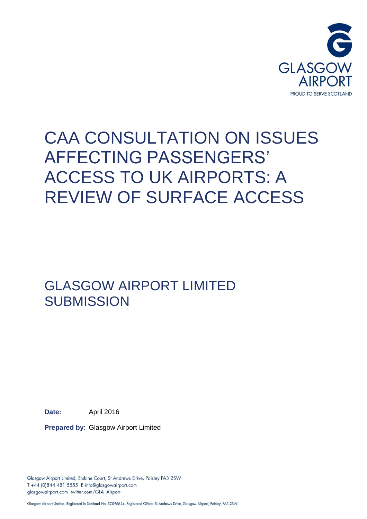

# CAA CONSULTATION ON ISSUES AFFECTING PASSENGERS' ACCESS TO UK AIRPORTS: A REVIEW OF SURFACE ACCESS

GLASGOW AIRPORT LIMITED **SUBMISSION** 

**Date:** April 2016

**Prepared by:** Glasgow Airport Limited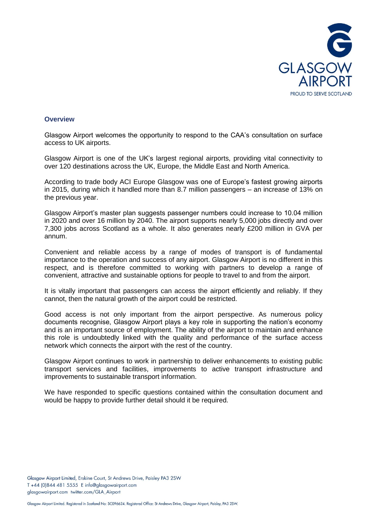

## **Overview**

Glasgow Airport welcomes the opportunity to respond to the CAA's consultation on surface access to UK airports.

Glasgow Airport is one of the UK's largest regional airports, providing vital connectivity to over 120 destinations across the UK, Europe, the Middle East and North America.

According to trade body ACI Europe Glasgow was one of Europe's fastest growing airports in 2015, during which it handled more than 8.7 million passengers – an increase of 13% on the previous year.

Glasgow Airport's master plan suggests passenger numbers could increase to 10.04 million in 2020 and over 16 million by 2040. The airport supports nearly 5,000 jobs directly and over 7,300 jobs across Scotland as a whole. It also generates nearly £200 million in GVA per annum.

Convenient and reliable access by a range of modes of transport is of fundamental importance to the operation and success of any airport. Glasgow Airport is no different in this respect, and is therefore committed to working with partners to develop a range of convenient, attractive and sustainable options for people to travel to and from the airport.

It is vitally important that passengers can access the airport efficiently and reliably. If they cannot, then the natural growth of the airport could be restricted.

Good access is not only important from the airport perspective. As numerous policy documents recognise, Glasgow Airport plays a key role in supporting the nation's economy and is an important source of employment. The ability of the airport to maintain and enhance this role is undoubtedly linked with the quality and performance of the surface access network which connects the airport with the rest of the country.

Glasgow Airport continues to work in partnership to deliver enhancements to existing public transport services and facilities, improvements to active transport infrastructure and improvements to sustainable transport information.

We have responded to specific questions contained within the consultation document and would be happy to provide further detail should it be required.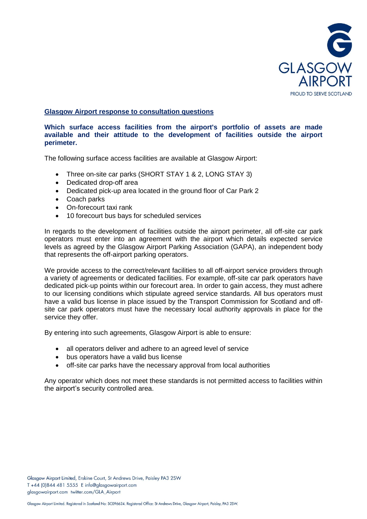

# **Glasgow Airport response to consultation questions**

## **Which surface access facilities from the airport's portfolio of assets are made available and their attitude to the development of facilities outside the airport perimeter.**

The following surface access facilities are available at Glasgow Airport:

- Three on-site car parks (SHORT STAY 1 & 2, LONG STAY 3)
- Dedicated drop-off area
- Dedicated pick-up area located in the ground floor of Car Park 2
- Coach parks
- On-forecourt taxi rank
- 10 forecourt bus bays for scheduled services

In regards to the development of facilities outside the airport perimeter, all off-site car park operators must enter into an agreement with the airport which details expected service levels as agreed by the Glasgow Airport Parking Association (GAPA), an independent body that represents the off-airport parking operators.

We provide access to the correct/relevant facilities to all off-airport service providers through a variety of agreements or dedicated facilities. For example, off-site car park operators have dedicated pick-up points within our forecourt area. In order to gain access, they must adhere to our licensing conditions which stipulate agreed service standards. All bus operators must have a valid bus license in place issued by the Transport Commission for Scotland and offsite car park operators must have the necessary local authority approvals in place for the service they offer.

By entering into such agreements, Glasgow Airport is able to ensure:

- all operators deliver and adhere to an agreed level of service
- bus operators have a valid bus license
- off-site car parks have the necessary approval from local authorities

Any operator which does not meet these standards is not permitted access to facilities within the airport's security controlled area.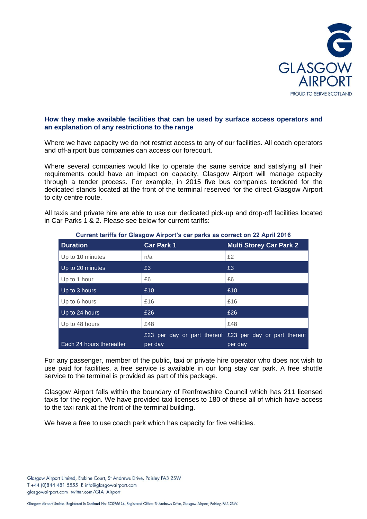

## **How they make available facilities that can be used by surface access operators and an explanation of any restrictions to the range**

Where we have capacity we do not restrict access to any of our facilities. All coach operators and off-airport bus companies can access our forecourt.

Where several companies would like to operate the same service and satisfying all their requirements could have an impact on capacity, Glasgow Airport will manage capacity through a tender process. For example, in 2015 five bus companies tendered for the dedicated stands located at the front of the terminal reserved for the direct Glasgow Airport to city centre route.

All taxis and private hire are able to use our dedicated pick-up and drop-off facilities located in Car Parks 1 & 2. Please see below for current tariffs:

| <b>Duration</b>          | <b>Car Park 1</b> | <b>Multi Storey Car Park 2</b>                                     |
|--------------------------|-------------------|--------------------------------------------------------------------|
| Up to 10 minutes         | n/a               | £2                                                                 |
| Up to 20 minutes         | £3                | £3                                                                 |
| Up to 1 hour             | £6                | £6                                                                 |
| Up to 3 hours            | £10               | £10                                                                |
| Up to 6 hours            | £16               | £16                                                                |
| Up to 24 hours           | £26               | £26                                                                |
| Up to 48 hours           | £48               | £48                                                                |
| Each 24 hours thereafter | per day           | £23 per day or part thereof £23 per day or part thereof<br>per day |

#### **Current tariffs for Glasgow Airport's car parks as correct on 22 April 2016**

For any passenger, member of the public, taxi or private hire operator who does not wish to use paid for facilities, a free service is available in our long stay car park. A free shuttle service to the terminal is provided as part of this package.

Glasgow Airport falls within the boundary of Renfrewshire Council which has 211 licensed taxis for the region. We have provided taxi licenses to 180 of these all of which have access to the taxi rank at the front of the terminal building.

We have a free to use coach park which has capacity for five vehicles.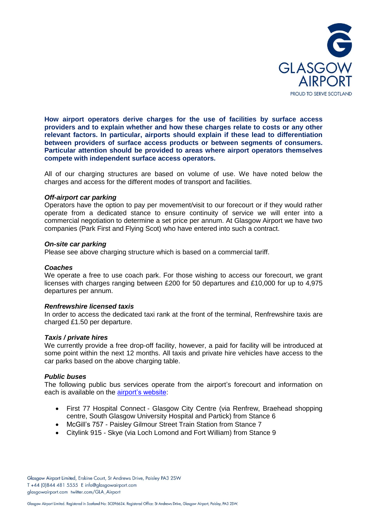

**How airport operators derive charges for the use of facilities by surface access providers and to explain whether and how these charges relate to costs or any other relevant factors. In particular, airports should explain if these lead to differentiation between providers of surface access products or between segments of consumers. Particular attention should be provided to areas where airport operators themselves compete with independent surface access operators.** 

All of our charging structures are based on volume of use. We have noted below the charges and access for the different modes of transport and facilities.

### *Off-airport car parking*

Operators have the option to pay per movement/visit to our forecourt or if they would rather operate from a dedicated stance to ensure continuity of service we will enter into a commercial negotiation to determine a set price per annum. At Glasgow Airport we have two companies (Park First and Flying Scot) who have entered into such a contract.

### *On-site car parking*

Please see above charging structure which is based on a commercial tariff.

#### *Coaches*

We operate a free to use coach park. For those wishing to access our forecourt, we grant licenses with charges ranging between £200 for 50 departures and £10,000 for up to 4,975 departures per annum.

## *Renfrewshire licensed taxis*

In order to access the dedicated taxi rank at the front of the terminal, Renfrewshire taxis are charged £1.50 per departure.

## *Taxis / private hires*

We currently provide a free drop-off facility, however, a paid for facility will be introduced at some point within the next 12 months. All taxis and private hire vehicles have access to the car parks based on the above charging table.

## *Public buses*

The following public bus services operate from the airport's forecourt and information on each is available on the [airport's website:](http://www.glasgowairport.com/im-departing/getting-here/)

- First 77 Hospital Connect Glasgow City Centre (via Renfrew, Braehead shopping centre, South Glasgow University Hospital and Partick) from Stance 6
- McGill's 757 Paisley Gilmour Street Train Station from Stance 7
- Citylink 915 Skye (via Loch Lomond and Fort William) from Stance 9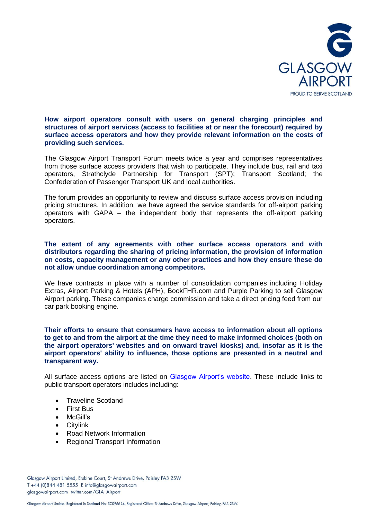

**How airport operators consult with users on general charging principles and structures of airport services (access to facilities at or near the forecourt) required by surface access operators and how they provide relevant information on the costs of providing such services.** 

The Glasgow Airport Transport Forum meets twice a year and comprises representatives from those surface access providers that wish to participate. They include bus, rail and taxi operators, Strathclyde Partnership for Transport (SPT); Transport Scotland; the Confederation of Passenger Transport UK and local authorities.

The forum provides an opportunity to review and discuss surface access provision including pricing structures. In addition, we have agreed the service standards for off-airport parking operators with GAPA – the independent body that represents the off-airport parking operators.

**The extent of any agreements with other surface access operators and with distributors regarding the sharing of pricing information, the provision of information on costs, capacity management or any other practices and how they ensure these do not allow undue coordination among competitors.** 

We have contracts in place with a number of consolidation companies including Holiday Extras, Airport Parking & Hotels (APH), BookFHR.com and Purple Parking to sell Glasgow Airport parking. These companies charge commission and take a direct pricing feed from our car park booking engine.

## **Their efforts to ensure that consumers have access to information about all options to get to and from the airport at the time they need to make informed choices (both on the airport operators' websites and on onward travel kiosks) and, insofar as it is the airport operators' ability to influence, those options are presented in a neutral and transparent way.**

All surface access options are listed on [Glasgow Airport's website.](http://www.glasgowairport.com/im-departing/getting-here/) These include links to public transport operators includes including:

- Traveline Scotland
- First Bus
- McGill's
- **•** Citylink
- Road Network Information
- Regional Transport Information